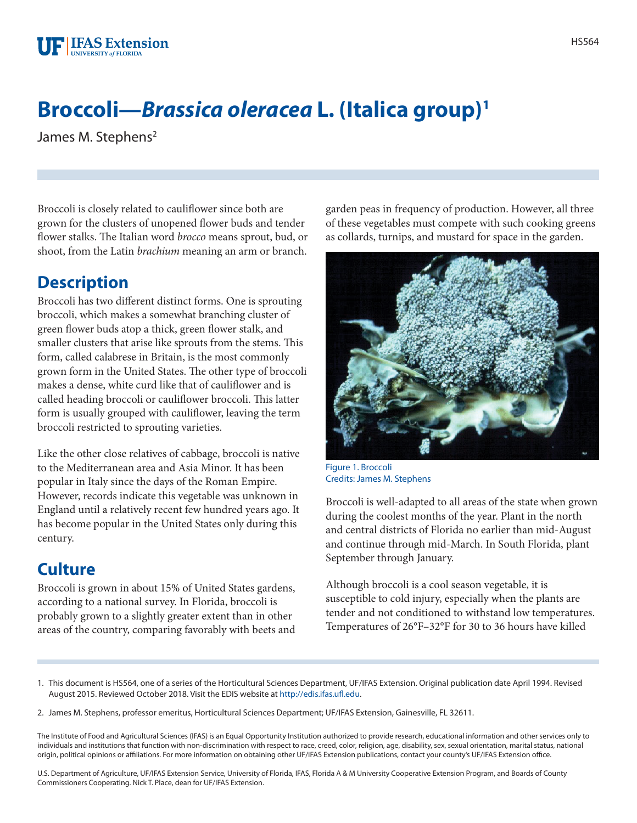## **Broccoli—***Brassica oleracea* **L. (Italica group)1**

James M. Stephens<sup>2</sup>

Broccoli is closely related to cauliflower since both are grown for the clusters of unopened flower buds and tender flower stalks. The Italian word *brocco* means sprout, bud, or shoot, from the Latin *brachium* meaning an arm or branch.

## **Description**

Broccoli has two different distinct forms. One is sprouting broccoli, which makes a somewhat branching cluster of green flower buds atop a thick, green flower stalk, and smaller clusters that arise like sprouts from the stems. This form, called calabrese in Britain, is the most commonly grown form in the United States. The other type of broccoli makes a dense, white curd like that of cauliflower and is called heading broccoli or cauliflower broccoli. This latter form is usually grouped with cauliflower, leaving the term broccoli restricted to sprouting varieties.

Like the other close relatives of cabbage, broccoli is native to the Mediterranean area and Asia Minor. It has been popular in Italy since the days of the Roman Empire. However, records indicate this vegetable was unknown in England until a relatively recent few hundred years ago. It has become popular in the United States only during this century.

## **Culture**

Broccoli is grown in about 15% of United States gardens, according to a national survey. In Florida, broccoli is probably grown to a slightly greater extent than in other areas of the country, comparing favorably with beets and garden peas in frequency of production. However, all three of these vegetables must compete with such cooking greens as collards, turnips, and mustard for space in the garden.



Figure 1. Broccoli Credits: James M. Stephens

Broccoli is well-adapted to all areas of the state when grown during the coolest months of the year. Plant in the north and central districts of Florida no earlier than mid-August and continue through mid-March. In South Florida, plant September through January.

Although broccoli is a cool season vegetable, it is susceptible to cold injury, especially when the plants are tender and not conditioned to withstand low temperatures. Temperatures of 26°F–32°F for 30 to 36 hours have killed

- 1. This document is HS564, one of a series of the Horticultural Sciences Department, UF/IFAS Extension. Original publication date April 1994. Revised August 2015. Reviewed October 2018. Visit the EDIS website at [http://edis.ifas.ufl.edu.](http://edis.ifas.ufl.edu)
- 2. James M. Stephens, professor emeritus, Horticultural Sciences Department; UF/IFAS Extension, Gainesville, FL 32611.

The Institute of Food and Agricultural Sciences (IFAS) is an Equal Opportunity Institution authorized to provide research, educational information and other services only to individuals and institutions that function with non-discrimination with respect to race, creed, color, religion, age, disability, sex, sexual orientation, marital status, national origin, political opinions or affiliations. For more information on obtaining other UF/IFAS Extension publications, contact your county's UF/IFAS Extension office.

U.S. Department of Agriculture, UF/IFAS Extension Service, University of Florida, IFAS, Florida A & M University Cooperative Extension Program, and Boards of County Commissioners Cooperating. Nick T. Place, dean for UF/IFAS Extension.